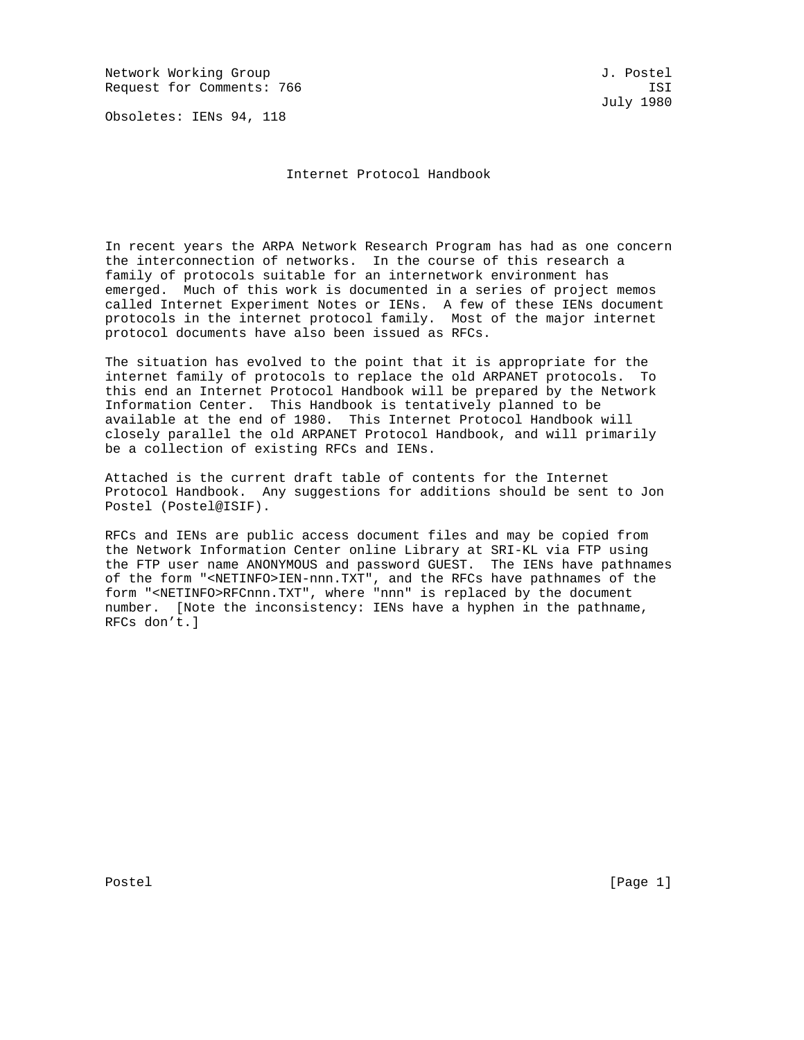Network Working Group and the set of the set of the set of the set of the set of the set of the set of the set of the set of the set of the set of the set of the set of the set of the set of the set of the set of the set o Request for Comments: 766 ISI

Obsoletes: IENs 94, 118

July 1980

Internet Protocol Handbook

In recent years the ARPA Network Research Program has had as one concern the interconnection of networks. In the course of this research a family of protocols suitable for an internetwork environment has emerged. Much of this work is documented in a series of project memos called Internet Experiment Notes or IENs. A few of these IENs document protocols in the internet protocol family. Most of the major internet protocol documents have also been issued as RFCs.

The situation has evolved to the point that it is appropriate for the internet family of protocols to replace the old ARPANET protocols. To this end an Internet Protocol Handbook will be prepared by the Network Information Center. This Handbook is tentatively planned to be available at the end of 1980. This Internet Protocol Handbook will closely parallel the old ARPANET Protocol Handbook, and will primarily be a collection of existing RFCs and IENs.

Attached is the current draft table of contents for the Internet Protocol Handbook. Any suggestions for additions should be sent to Jon Postel (Postel@ISIF).

RFCs and IENs are public access document files and may be copied from the Network Information Center online Library at SRI-KL via FTP using the FTP user name ANONYMOUS and password GUEST. The IENs have pathnames of the form "<NETINFO>IEN-nnn.TXT", and the RFCs have pathnames of the form "<NETINFO>RFCnnn.TXT", where "nnn" is replaced by the document number. [Note the inconsistency: IENs have a hyphen in the pathname, RFCs don't.]

Postel [Page 1] [Page 1]